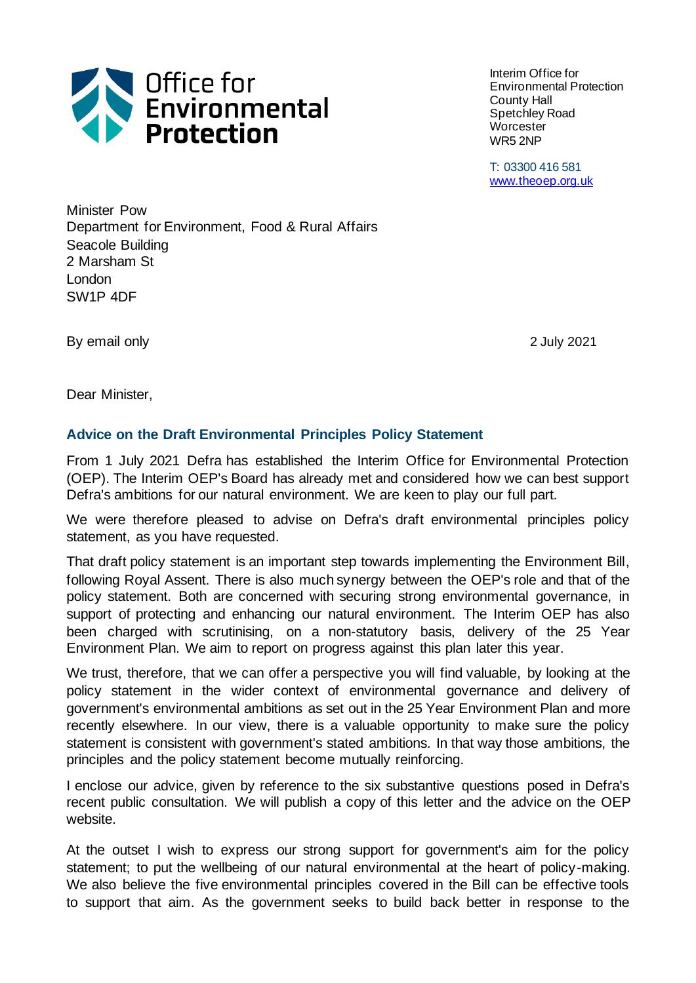

Interim Office for Environmental Protection County Hall Spetchley Road **Worcester** WR5 2NP

T: 03300 416 581 [www.theoep.org.uk](http://www.theoep.org.uk/)

Minister Pow Department for Environment, Food & Rural Affairs Seacole Building 2 Marsham St London SW1P 4DF

By email only **2021** 

Dear Minister,

### **Advice on the Draft Environmental Principles Policy Statement**

From 1 July 2021 Defra has established the Interim Office for Environmental Protection (OEP). The Interim OEP's Board has already met and considered how we can best support Defra's ambitions for our natural environment. We are keen to play our full part.

We were therefore pleased to advise on Defra's draft environmental principles policy statement, as you have requested.

That draft policy statement is an important step towards implementing the Environment Bill, following Royal Assent. There is also much synergy between the OEP's role and that of the policy statement. Both are concerned with securing strong environmental governance, in support of protecting and enhancing our natural environment. The Interim OEP has also been charged with scrutinising, on a non-statutory basis, delivery of the 25 Year Environment Plan. We aim to report on progress against this plan later this year.

We trust, therefore, that we can offer a perspective you will find valuable, by looking at the policy statement in the wider context of environmental governance and delivery of government's environmental ambitions as set out in the 25 Year Environment Plan and more recently elsewhere. In our view, there is a valuable opportunity to make sure the policy statement is consistent with government's stated ambitions. In that way those ambitions, the principles and the policy statement become mutually reinforcing.

I enclose our advice, given by reference to the six substantive questions posed in Defra's recent public consultation. We will publish a copy of this letter and the advice on the OEP website.

At the outset I wish to express our strong support for government's aim for the policy statement; to put the wellbeing of our natural environmental at the heart of policy-making. We also believe the five environmental principles covered in the Bill can be effective tools to support that aim. As the government seeks to build back better in response to the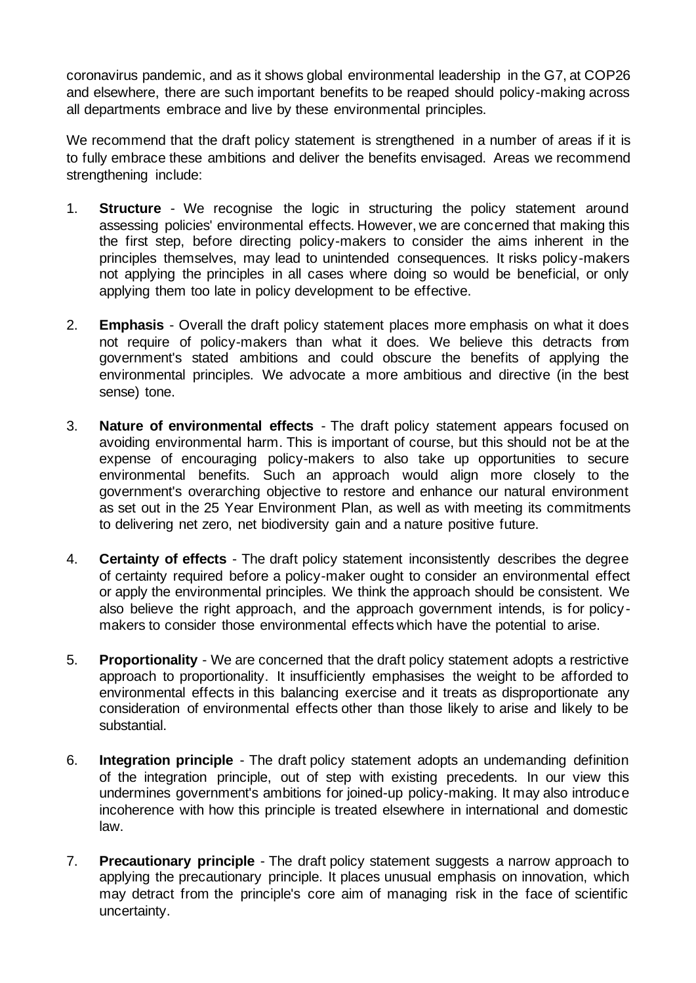coronavirus pandemic, and as it shows global environmental leadership in the G7, at COP26 and elsewhere, there are such important benefits to be reaped should policy-making across all departments embrace and live by these environmental principles.

We recommend that the draft policy statement is strengthened in a number of areas if it is to fully embrace these ambitions and deliver the benefits envisaged. Areas we recommend strengthening include:

- 1. **Structure**  We recognise the logic in structuring the policy statement around assessing policies' environmental effects. However, we are concerned that making this the first step, before directing policy-makers to consider the aims inherent in the principles themselves, may lead to unintended consequences. It risks policy-makers not applying the principles in all cases where doing so would be beneficial, or only applying them too late in policy development to be effective.
- 2. **Emphasis** Overall the draft policy statement places more emphasis on what it does not require of policy-makers than what it does. We believe this detracts from government's stated ambitions and could obscure the benefits of applying the environmental principles. We advocate a more ambitious and directive (in the best sense) tone.
- 3. **Nature of environmental effects**  The draft policy statement appears focused on avoiding environmental harm. This is important of course, but this should not be at the expense of encouraging policy-makers to also take up opportunities to secure environmental benefits. Such an approach would align more closely to the government's overarching objective to restore and enhance our natural environment as set out in the 25 Year Environment Plan, as well as with meeting its commitments to delivering net zero, net biodiversity gain and a nature positive future.
- 4. **Certainty of effects**  The draft policy statement inconsistently describes the degree of certainty required before a policy-maker ought to consider an environmental effect or apply the environmental principles. We think the approach should be consistent. We also believe the right approach, and the approach government intends, is for policymakers to consider those environmental effects which have the potential to arise.
- 5. **Proportionality**  We are concerned that the draft policy statement adopts a restrictive approach to proportionality. It insufficiently emphasises the weight to be afforded to environmental effects in this balancing exercise and it treats as disproportionate any consideration of environmental effects other than those likely to arise and likely to be substantial.
- 6. **Integration principle** The draft policy statement adopts an undemanding definition of the integration principle, out of step with existing precedents. In our view this undermines government's ambitions for joined-up policy-making. It may also introduce incoherence with how this principle is treated elsewhere in international and domestic law.
- 7. **Precautionary principle**  The draft policy statement suggests a narrow approach to applying the precautionary principle. It places unusual emphasis on innovation, which may detract from the principle's core aim of managing risk in the face of scientific uncertainty.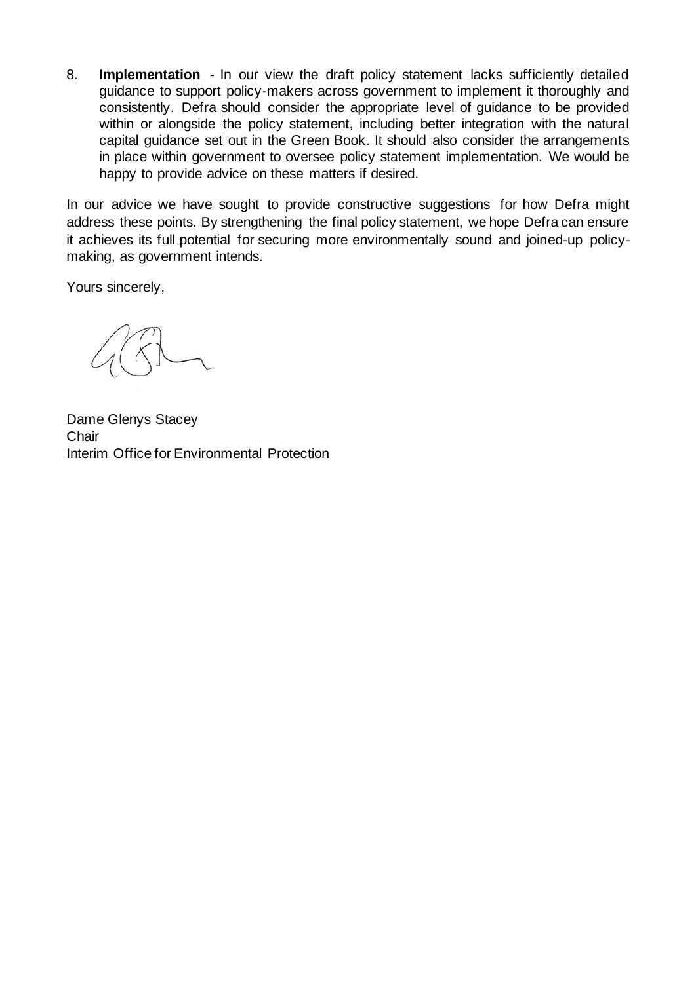8. **Implementation** - In our view the draft policy statement lacks sufficiently detailed guidance to support policy-makers across government to implement it thoroughly and consistently. Defra should consider the appropriate level of guidance to be provided within or alongside the policy statement, including better integration with the natural capital guidance set out in the Green Book. It should also consider the arrangements in place within government to oversee policy statement implementation. We would be happy to provide advice on these matters if desired.

In our advice we have sought to provide constructive suggestions for how Defra might address these points. By strengthening the final policy statement, we hope Defra can ensure it achieves its full potential for securing more environmentally sound and joined-up policymaking, as government intends.

Yours sincerely,

Dame Glenys Stacey **Chair** Interim Office for Environmental Protection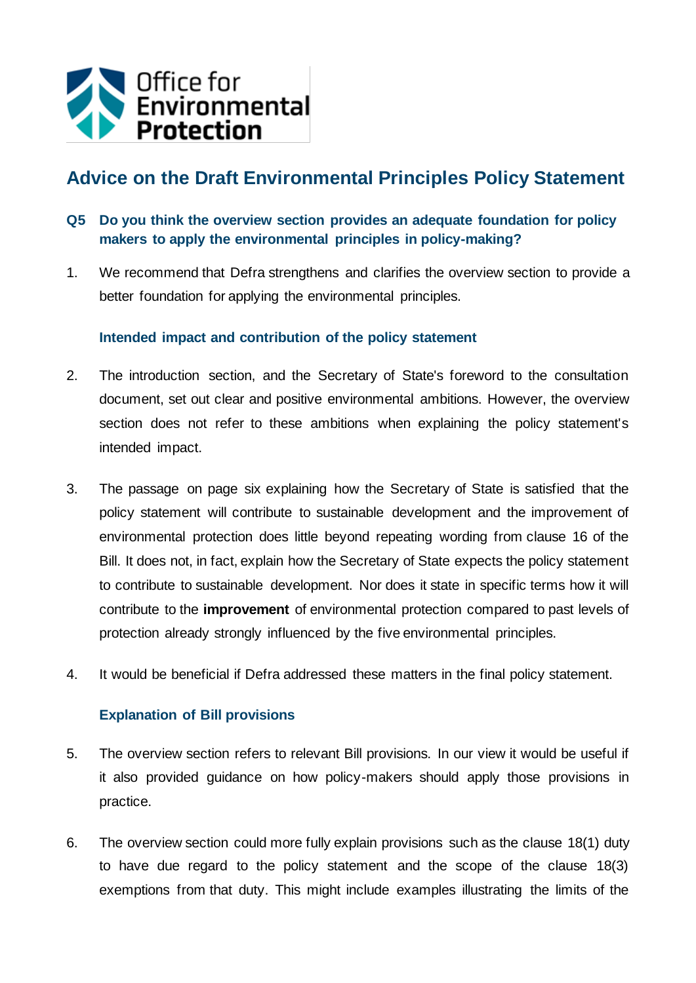

# **Advice on the Draft Environmental Principles Policy Statement**

- **Q5 Do you think the overview section provides an adequate foundation for policy makers to apply the environmental principles in policy-making?**
- 1. We recommend that Defra strengthens and clarifies the overview section to provide a better foundation for applying the environmental principles.

#### **Intended impact and contribution of the policy statement**

- 2. The introduction section, and the Secretary of State's foreword to the consultation document, set out clear and positive environmental ambitions. However, the overview section does not refer to these ambitions when explaining the policy statement's intended impact.
- 3. The passage on page six explaining how the Secretary of State is satisfied that the policy statement will contribute to sustainable development and the improvement of environmental protection does little beyond repeating wording from clause 16 of the Bill. It does not, in fact, explain how the Secretary of State expects the policy statement to contribute to sustainable development. Nor does it state in specific terms how it will contribute to the **improvement** of environmental protection compared to past levels of protection already strongly influenced by the five environmental principles.
- 4. It would be beneficial if Defra addressed these matters in the final policy statement.

#### **Explanation of Bill provisions**

- 5. The overview section refers to relevant Bill provisions. In our view it would be useful if it also provided guidance on how policy-makers should apply those provisions in practice.
- 6. The overview section could more fully explain provisions such as the clause 18(1) duty to have due regard to the policy statement and the scope of the clause 18(3) exemptions from that duty. This might include examples illustrating the limits of the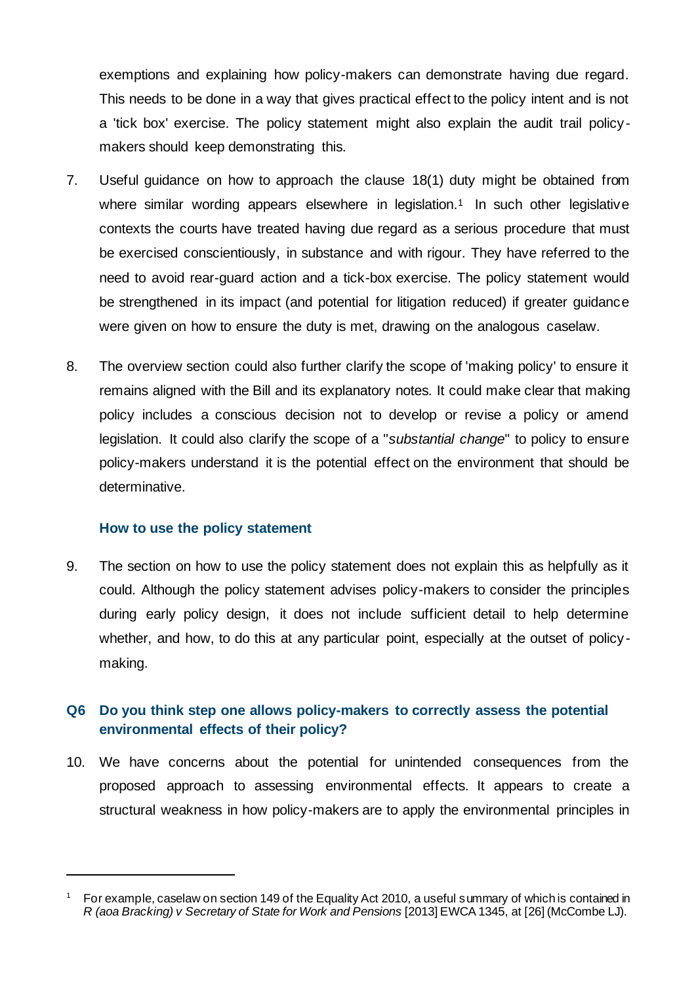exemptions and explaining how policy-makers can demonstrate having due regard. This needs to be done in a way that gives practical effect to the policy intent and is not a 'tick box' exercise. The policy statement might also explain the audit trail policymakers should keep demonstrating this.

- 7. Useful guidance on how to approach the clause 18(1) duty might be obtained from where similar wording appears elsewhere in legislation.<sup>1</sup> In such other legislative contexts the courts have treated having due regard as a serious procedure that must be exercised conscientiously, in substance and with rigour. They have referred to the need to avoid rear-guard action and a tick-box exercise. The policy statement would be strengthened in its impact (and potential for litigation reduced) if greater guidance were given on how to ensure the duty is met, drawing on the analogous caselaw.
- 8. The overview section could also further clarify the scope of 'making policy' to ensure it remains aligned with the Bill and its explanatory notes. It could make clear that making policy includes a conscious decision not to develop or revise a policy or amend legislation. It could also clarify the scope of a "*substantial change*" to policy to ensure policy-makers understand it is the potential effect on the environment that should be determinative.

#### **How to use the policy statement**

9. The section on how to use the policy statement does not explain this as helpfully as it could. Although the policy statement advises policy-makers to consider the principles during early policy design, it does not include sufficient detail to help determine whether, and how, to do this at any particular point, especially at the outset of policymaking.

# **Q6 Do you think step one allows policy-makers to correctly assess the potential environmental effects of their policy?**

10. We have concerns about the potential for unintended consequences from the proposed approach to assessing environmental effects. It appears to create a structural weakness in how policy-makers are to apply the environmental principles in

<sup>&</sup>lt;sup>1</sup> For example, caselaw on section 149 of the Equality Act 2010, a useful summary of which is contained in *R (aoa Bracking) v Secretary of State for Work and Pensions* [2013] EWCA 1345, at [26] (McCombe LJ).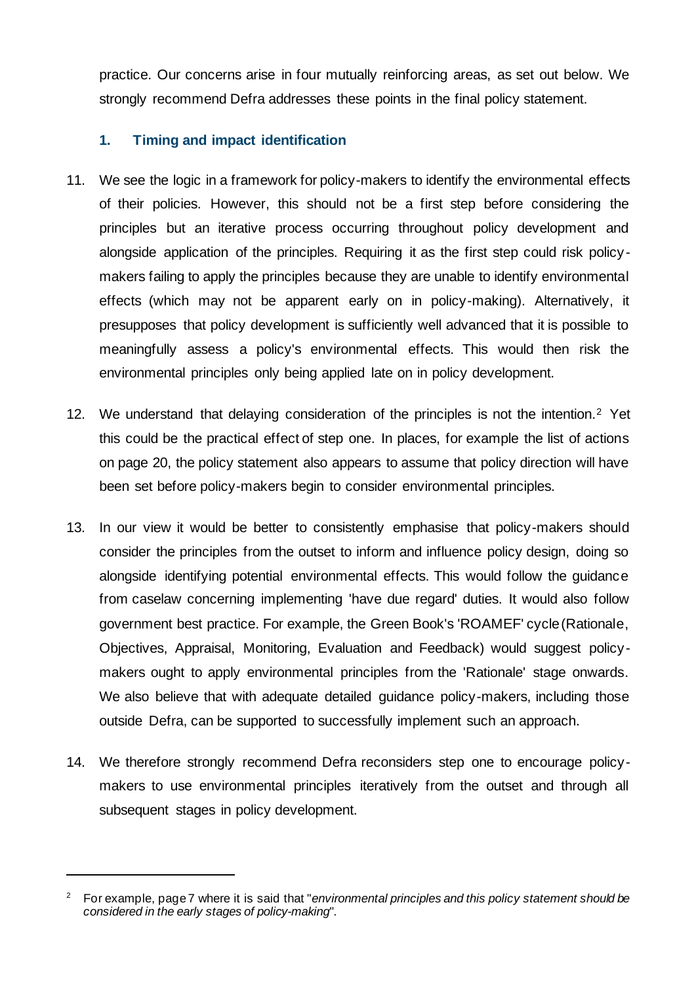practice. Our concerns arise in four mutually reinforcing areas, as set out below. We strongly recommend Defra addresses these points in the final policy statement.

### **1. Timing and impact identification**

- 11. We see the logic in a framework for policy-makers to identify the environmental effects of their policies. However, this should not be a first step before considering the principles but an iterative process occurring throughout policy development and alongside application of the principles. Requiring it as the first step could risk policymakers failing to apply the principles because they are unable to identify environmental effects (which may not be apparent early on in policy-making). Alternatively, it presupposes that policy development is sufficiently well advanced that it is possible to meaningfully assess a policy's environmental effects. This would then risk the environmental principles only being applied late on in policy development.
- 12. We understand that delaying consideration of the principles is not the intention.<sup>2</sup> Yet this could be the practical effect of step one. In places, for example the list of actions on page 20, the policy statement also appears to assume that policy direction will have been set before policy-makers begin to consider environmental principles.
- 13. In our view it would be better to consistently emphasise that policy-makers should consider the principles from the outset to inform and influence policy design, doing so alongside identifying potential environmental effects. This would follow the guidance from caselaw concerning implementing 'have due regard' duties. It would also follow government best practice. For example, the Green Book's 'ROAMEF' cycle (Rationale, Objectives, Appraisal, Monitoring, Evaluation and Feedback) would suggest policymakers ought to apply environmental principles from the 'Rationale' stage onwards. We also believe that with adequate detailed quidance policy-makers, including those outside Defra, can be supported to successfully implement such an approach.
- 14. We therefore strongly recommend Defra reconsiders step one to encourage policymakers to use environmental principles iteratively from the outset and through all subsequent stages in policy development.

<sup>2</sup> For example, page 7 where it is said that "*environmental principles and this policy statement should be considered in the early stages of policy-making*".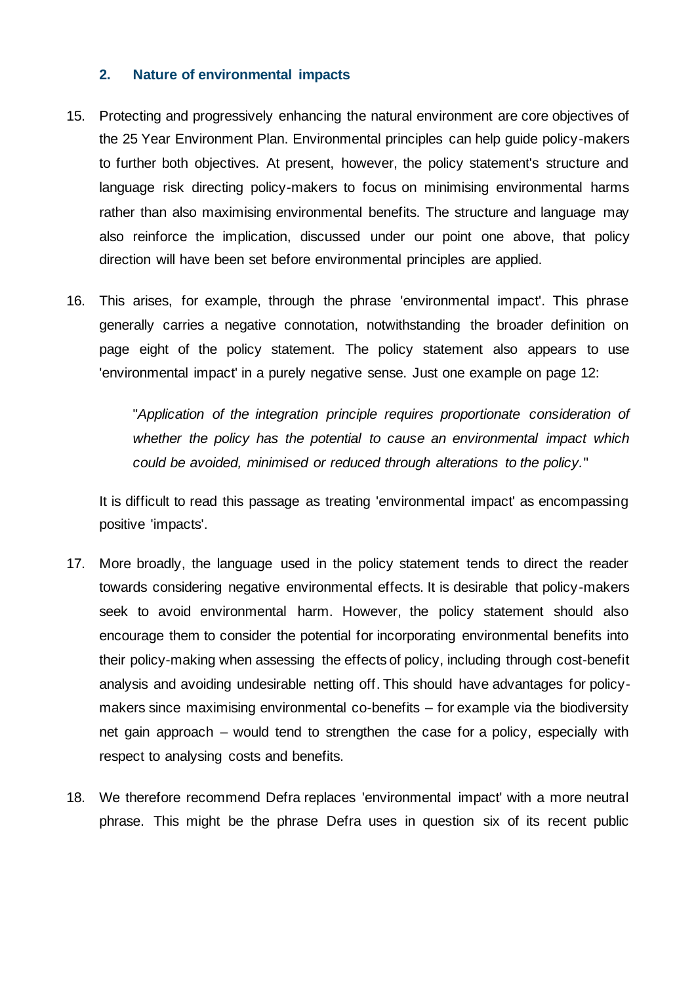#### **2. Nature of environmental impacts**

- 15. Protecting and progressively enhancing the natural environment are core objectives of the 25 Year Environment Plan. Environmental principles can help guide policy-makers to further both objectives. At present, however, the policy statement's structure and language risk directing policy-makers to focus on minimising environmental harms rather than also maximising environmental benefits. The structure and language may also reinforce the implication, discussed under our point one above, that policy direction will have been set before environmental principles are applied.
- 16. This arises, for example, through the phrase 'environmental impact'. This phrase generally carries a negative connotation, notwithstanding the broader definition on page eight of the policy statement. The policy statement also appears to use 'environmental impact' in a purely negative sense. Just one example on page 12:

"*Application of the integration principle requires proportionate consideration of whether the policy has the potential to cause an environmental impact which could be avoided, minimised or reduced through alterations to the policy.*"

It is difficult to read this passage as treating 'environmental impact' as encompassing positive 'impacts'.

- 17. More broadly, the language used in the policy statement tends to direct the reader towards considering negative environmental effects. It is desirable that policy-makers seek to avoid environmental harm. However, the policy statement should also encourage them to consider the potential for incorporating environmental benefits into their policy-making when assessing the effects of policy, including through cost-benefit analysis and avoiding undesirable netting off. This should have advantages for policymakers since maximising environmental co-benefits – for example via the biodiversity net gain approach – would tend to strengthen the case for a policy, especially with respect to analysing costs and benefits.
- 18. We therefore recommend Defra replaces 'environmental impact' with a more neutral phrase. This might be the phrase Defra uses in question six of its recent public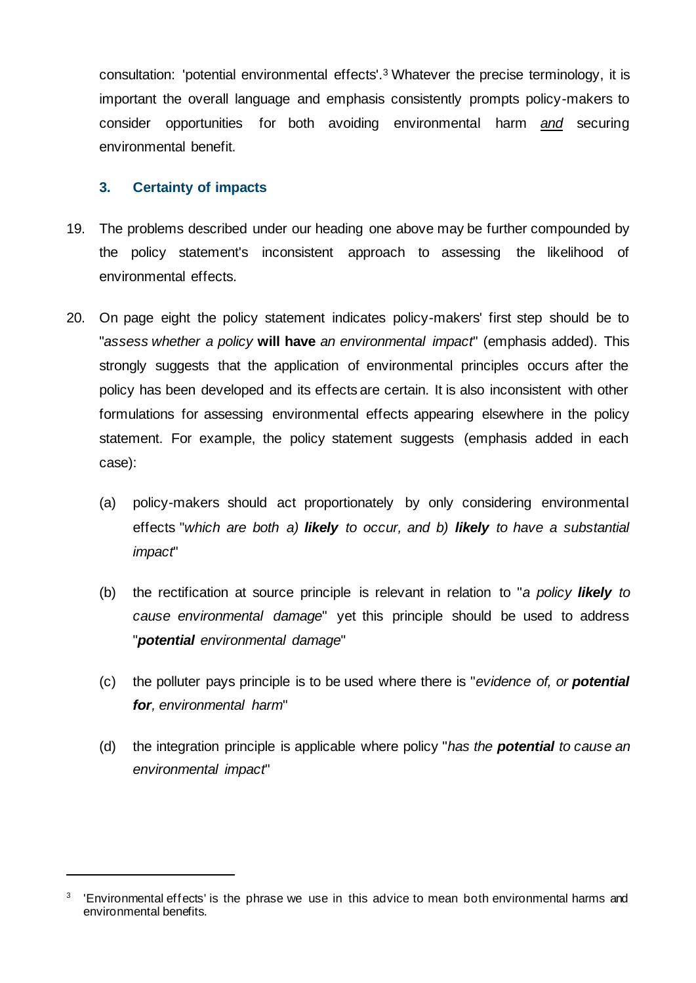consultation: 'potential environmental effects'.<sup>3</sup> Whatever the precise terminology, it is important the overall language and emphasis consistently prompts policy-makers to consider opportunities for both avoiding environmental harm *and* securing environmental benefit.

#### **3. Certainty of impacts**

- 19. The problems described under our heading one above may be further compounded by the policy statement's inconsistent approach to assessing the likelihood of environmental effects.
- 20. On page eight the policy statement indicates policy-makers' first step should be to "*assess whether a policy* **will have** *an environmental impact*" (emphasis added). This strongly suggests that the application of environmental principles occurs after the policy has been developed and its effects are certain. It is also inconsistent with other formulations for assessing environmental effects appearing elsewhere in the policy statement. For example, the policy statement suggests (emphasis added in each case):
	- (a) policy-makers should act proportionately by only considering environmental effects "*which are both a) likely to occur, and b) likely to have a substantial impact*"
	- (b) the rectification at source principle is relevant in relation to "*a policy likely to cause environmental damage*" yet this principle should be used to address "*potential environmental damage*"
	- (c) the polluter pays principle is to be used where there is "*evidence of, or potential for, environmental harm*"
	- (d) the integration principle is applicable where policy "*has the potential to cause an environmental impact*"

<sup>&</sup>lt;sup>3</sup> 'Environmental effects' is the phrase we use in this advice to mean both environmental harms and environmental benefits.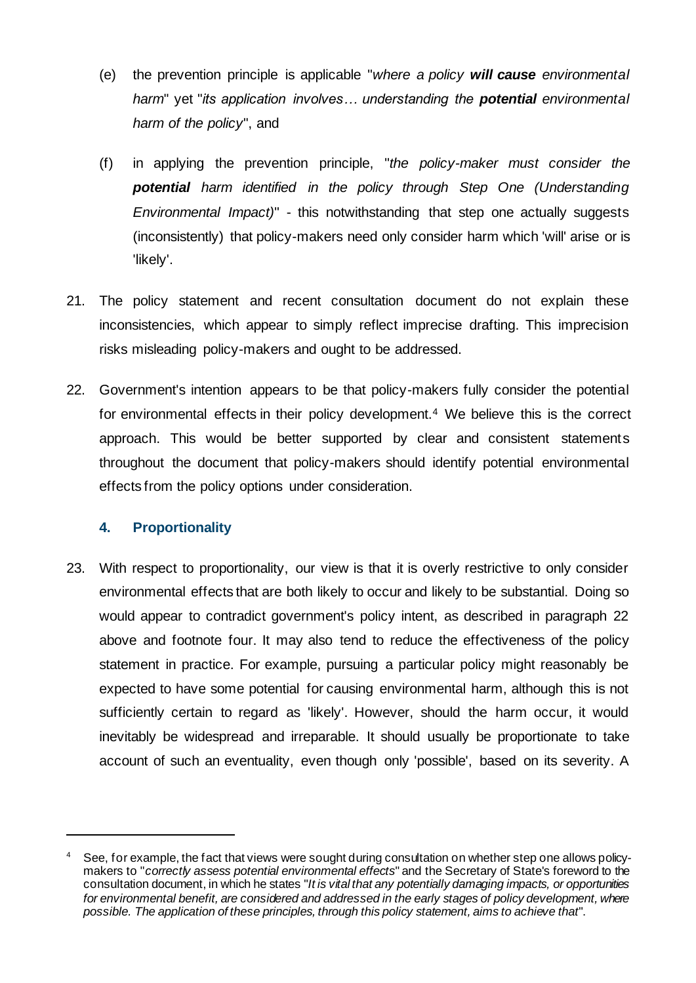- (e) the prevention principle is applicable "*where a policy will cause environmental harm*" yet "*its application involves… understanding the potential environmental harm of the policy*", and
- (f) in applying the prevention principle, "*the policy-maker must consider the potential harm identified in the policy through Step One (Understanding Environmental Impact)*" - this notwithstanding that step one actually suggests (inconsistently) that policy-makers need only consider harm which 'will' arise or is 'likely'.
- 21. The policy statement and recent consultation document do not explain these inconsistencies, which appear to simply reflect imprecise drafting. This imprecision risks misleading policy-makers and ought to be addressed.
- 22. Government's intention appears to be that policy-makers fully consider the potential for environmental effects in their policy development.<sup>4</sup> We believe this is the correct approach. This would be better supported by clear and consistent statements throughout the document that policy-makers should identify potential environmental effects from the policy options under consideration.

### **4. Proportionality**

23. With respect to proportionality, our view is that it is overly restrictive to only consider environmental effects that are both likely to occur and likely to be substantial. Doing so would appear to contradict government's policy intent, as described in paragraph 22 above and footnote four. It may also tend to reduce the effectiveness of the policy statement in practice. For example, pursuing a particular policy might reasonably be expected to have some potential for causing environmental harm, although this is not sufficiently certain to regard as 'likely'. However, should the harm occur, it would inevitably be widespread and irreparable. It should usually be proportionate to take account of such an eventuality, even though only 'possible', based on its severity. A

<sup>&</sup>lt;sup>4</sup> See, for example, the fact that views were sought during consultation on whether step one allows policymakers to "*correctly assess potential environmental effects*" and the Secretary of State's foreword to the consultation document, in which he states "*It is vital that any potentially damaging impacts, or opportunities for environmental benefit, are considered and addressed in the early stages of policy development, where possible. The application of these principles, through this policy statement, aims to achieve that*".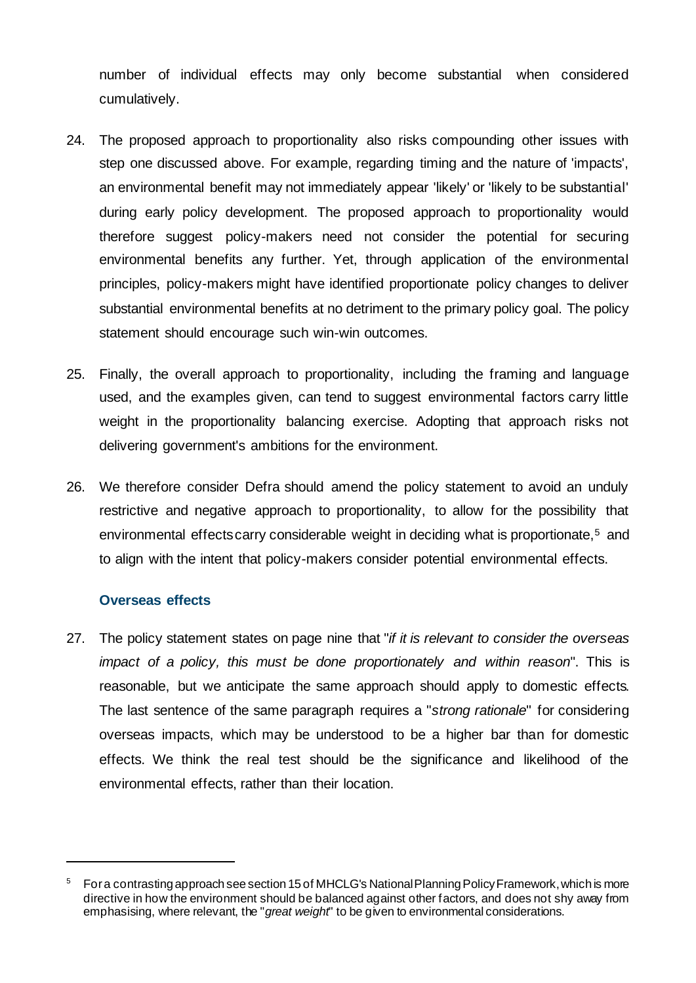number of individual effects may only become substantial when considered cumulatively.

- 24. The proposed approach to proportionality also risks compounding other issues with step one discussed above. For example, regarding timing and the nature of 'impacts', an environmental benefit may not immediately appear 'likely' or 'likely to be substantial' during early policy development. The proposed approach to proportionality would therefore suggest policy-makers need not consider the potential for securing environmental benefits any further. Yet, through application of the environmental principles, policy-makers might have identified proportionate policy changes to deliver substantial environmental benefits at no detriment to the primary policy goal. The policy statement should encourage such win-win outcomes.
- 25. Finally, the overall approach to proportionality, including the framing and language used, and the examples given, can tend to suggest environmental factors carry little weight in the proportionality balancing exercise. Adopting that approach risks not delivering government's ambitions for the environment.
- 26. We therefore consider Defra should amend the policy statement to avoid an unduly restrictive and negative approach to proportionality, to allow for the possibility that environmental effects carry considerable weight in deciding what is proportionate,<sup>5</sup> and to align with the intent that policy-makers consider potential environmental effects.

#### **Overseas effects**

27. The policy statement states on page nine that "*if it is relevant to consider the overseas impact of a policy, this must be done proportionately and within reason*". This is reasonable, but we anticipate the same approach should apply to domestic effects. The last sentence of the same paragraph requires a "*strong rationale*" for considering overseas impacts, which may be understood to be a higher bar than for domestic effects. We think the real test should be the significance and likelihood of the environmental effects, rather than their location.

<sup>&</sup>lt;sup>5</sup> For a contrasting approach see section 15 of MHCLG's National Planning Policy Framework, which is more directive in how the environment should be balanced against other factors, and does not shy away from emphasising, where relevant, the "*great weight*" to be given to environmental considerations.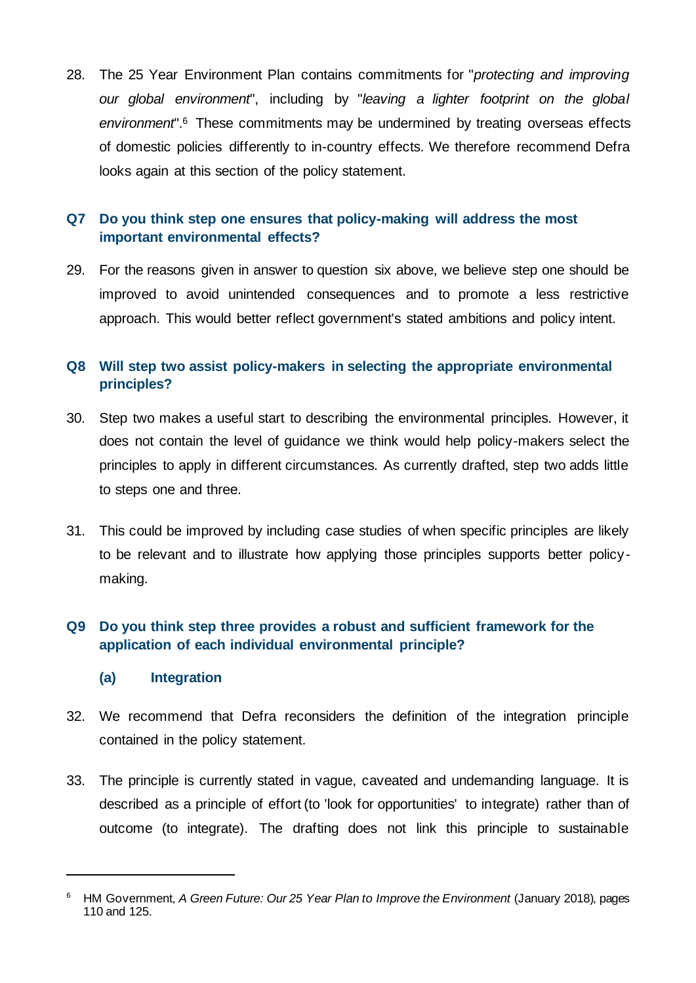28. The 25 Year Environment Plan contains commitments for "*protecting and improving our global environment*", including by "*leaving a lighter footprint on the global environment*".<sup>6</sup> These commitments may be undermined by treating overseas effects of domestic policies differently to in-country effects. We therefore recommend Defra looks again at this section of the policy statement.

# **Q7 Do you think step one ensures that policy-making will address the most important environmental effects?**

29. For the reasons given in answer to question six above, we believe step one should be improved to avoid unintended consequences and to promote a less restrictive approach. This would better reflect government's stated ambitions and policy intent.

## **Q8 Will step two assist policy-makers in selecting the appropriate environmental principles?**

- 30. Step two makes a useful start to describing the environmental principles. However, it does not contain the level of guidance we think would help policy-makers select the principles to apply in different circumstances. As currently drafted, step two adds little to steps one and three.
- 31. This could be improved by including case studies of when specific principles are likely to be relevant and to illustrate how applying those principles supports better policymaking.

# **Q9 Do you think step three provides a robust and sufficient framework for the application of each individual environmental principle?**

#### **(a) Integration**

- 32. We recommend that Defra reconsiders the definition of the integration principle contained in the policy statement.
- 33. The principle is currently stated in vague, caveated and undemanding language. It is described as a principle of effort (to 'look for opportunities' to integrate) rather than of outcome (to integrate). The drafting does not link this principle to sustainable

<sup>6</sup> HM Government, *A Green Future: Our 25 Year Plan to Improve the Environment* (January 2018), pages 110 and 125.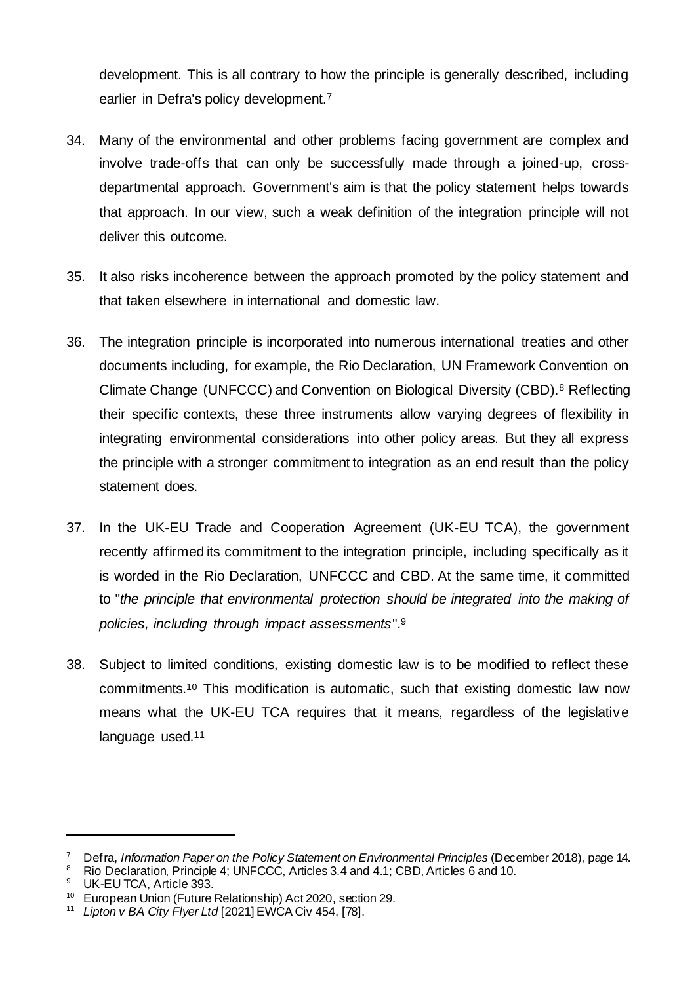development. This is all contrary to how the principle is generally described, including earlier in Defra's policy development.<sup>7</sup>

- 34. Many of the environmental and other problems facing government are complex and involve trade-offs that can only be successfully made through a joined-up, crossdepartmental approach. Government's aim is that the policy statement helps towards that approach. In our view, such a weak definition of the integration principle will not deliver this outcome.
- 35. It also risks incoherence between the approach promoted by the policy statement and that taken elsewhere in international and domestic law.
- 36. The integration principle is incorporated into numerous international treaties and other documents including, for example, the Rio Declaration, UN Framework Convention on Climate Change (UNFCCC) and Convention on Biological Diversity (CBD).<sup>8</sup> Reflecting their specific contexts, these three instruments allow varying degrees of flexibility in integrating environmental considerations into other policy areas. But they all express the principle with a stronger commitment to integration as an end result than the policy statement does.
- 37. In the UK-EU Trade and Cooperation Agreement (UK-EU TCA), the government recently affirmed its commitment to the integration principle, including specifically as it is worded in the Rio Declaration, UNFCCC and CBD. At the same time, it committed to "*the principle that environmental protection should be integrated into the making of policies, including through impact assessments*".<sup>9</sup>
- 38. Subject to limited conditions, existing domestic law is to be modified to reflect these commitments.<sup>10</sup> This modification is automatic, such that existing domestic law now means what the UK-EU TCA requires that it means, regardless of the legislative language used.<sup>11</sup>

<sup>7</sup> Defra, *Information Paper on the Policy Statement on Environmental Principles* (December 2018), page 14.<br><sup>8</sup> Pie Declaration, Principle 4: UNECCC, Articles 3, 4 and 4.1; CBD, Articles 6 and 10.

<sup>&</sup>lt;sup>8</sup> Rio Declaration, Principle 4; UNFCCC, Articles 3.4 and 4.1; CBD, Articles 6 and 10.

UK-EU TCA, Article 393.

<sup>10</sup> European Union (Future Relationship) Act 2020, section 29.

<sup>11</sup> *Lipton v BA City Flyer Ltd* [2021] EWCA Civ 454, [78].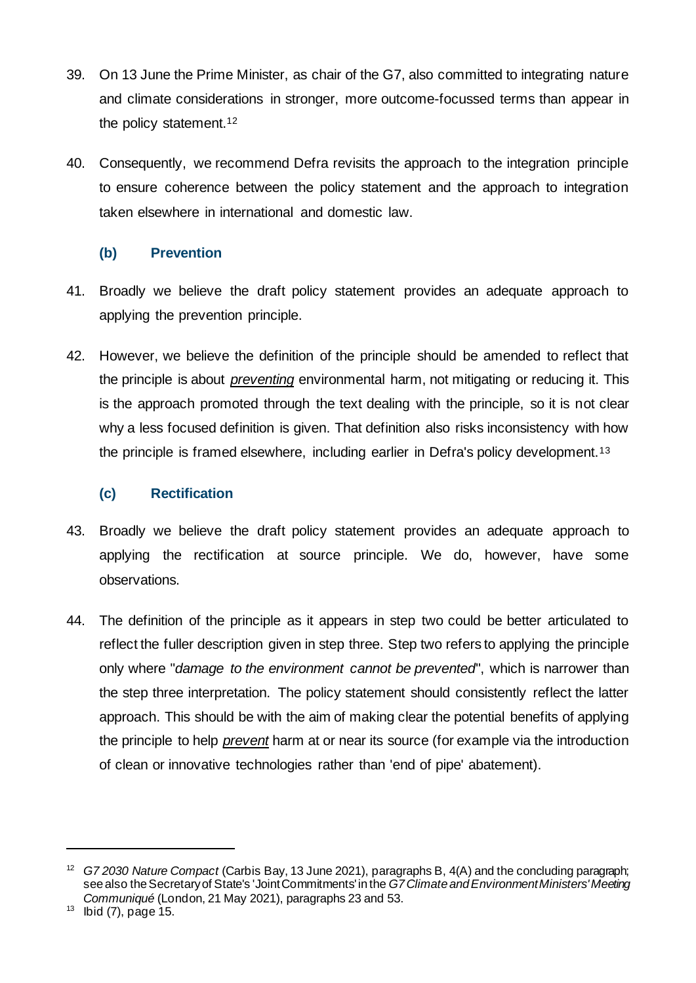- 39. On 13 June the Prime Minister, as chair of the G7, also committed to integrating nature and climate considerations in stronger, more outcome-focussed terms than appear in the policy statement.<sup>12</sup>
- 40. Consequently, we recommend Defra revisits the approach to the integration principle to ensure coherence between the policy statement and the approach to integration taken elsewhere in international and domestic law.

### **(b) Prevention**

- 41. Broadly we believe the draft policy statement provides an adequate approach to applying the prevention principle.
- 42. However, we believe the definition of the principle should be amended to reflect that the principle is about *preventing* environmental harm, not mitigating or reducing it. This is the approach promoted through the text dealing with the principle, so it is not clear why a less focused definition is given. That definition also risks inconsistency with how the principle is framed elsewhere, including earlier in Defra's policy development.<sup>13</sup>

# **(c) Rectification**

- 43. Broadly we believe the draft policy statement provides an adequate approach to applying the rectification at source principle. We do, however, have some observations.
- 44. The definition of the principle as it appears in step two could be better articulated to reflect the fuller description given in step three. Step two refers to applying the principle only where "*damage to the environment cannot be prevented*", which is narrower than the step three interpretation. The policy statement should consistently reflect the latter approach. This should be with the aim of making clear the potential benefits of applying the principle to help *prevent* harm at or near its source (for example via the introduction of clean or innovative technologies rather than 'end of pipe' abatement).

<sup>12</sup> *G7 2030 Nature Compact* (Carbis Bay, 13 June 2021), paragraphs B, 4(A) and the concluding paragraph; see also the Secretary of State's 'Joint Commitments' in the *G7 Climate and Environment Ministers'Meeting Communiqué* (London, 21 May 2021), paragraphs 23 and 53.

 $13$  lbid (7), page 15.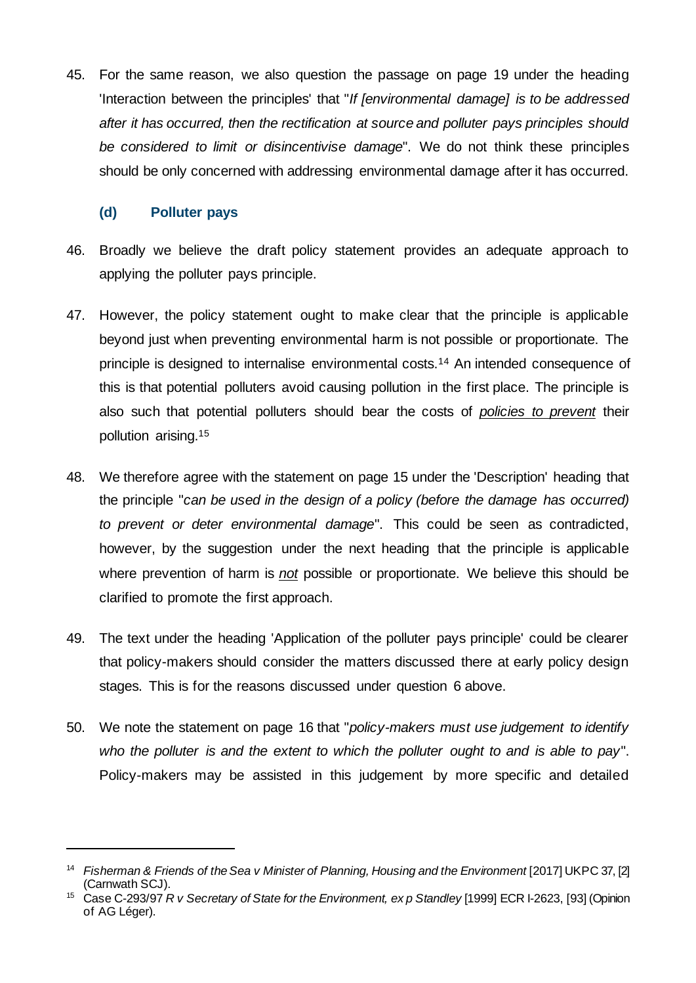45. For the same reason, we also question the passage on page 19 under the heading 'Interaction between the principles' that "*If [environmental damage] is to be addressed after it has occurred, then the rectification at source and polluter pays principles should be considered to limit or disincentivise damage*". We do not think these principles should be only concerned with addressing environmental damage after it has occurred.

### **(d) Polluter pays**

- 46. Broadly we believe the draft policy statement provides an adequate approach to applying the polluter pays principle.
- 47. However, the policy statement ought to make clear that the principle is applicable beyond just when preventing environmental harm is not possible or proportionate. The principle is designed to internalise environmental costs.<sup>14</sup> An intended consequence of this is that potential polluters avoid causing pollution in the first place. The principle is also such that potential polluters should bear the costs of *policies to prevent* their pollution arising.<sup>15</sup>
- 48. We therefore agree with the statement on page 15 under the 'Description' heading that the principle "*can be used in the design of a policy (before the damage has occurred) to prevent or deter environmental damage*". This could be seen as contradicted, however, by the suggestion under the next heading that the principle is applicable where prevention of harm is *not* possible or proportionate. We believe this should be clarified to promote the first approach.
- 49. The text under the heading 'Application of the polluter pays principle' could be clearer that policy-makers should consider the matters discussed there at early policy design stages. This is for the reasons discussed under question 6 above.
- 50. We note the statement on page 16 that "*policy-makers must use judgement to identify who the polluter is and the extent to which the polluter ought to and is able to pay*". Policy-makers may be assisted in this judgement by more specific and detailed

<sup>14</sup> *Fisherman & Friends of the Sea v Minister of Planning, Housing and the Environment* [2017] UKPC 37, [2] (Carnwath SCJ).

<sup>15</sup> Case C-293/97 *R v Secretary of State for the Environment, ex p Standley* [1999] ECR I-2623, [93] (Opinion of AG Léger).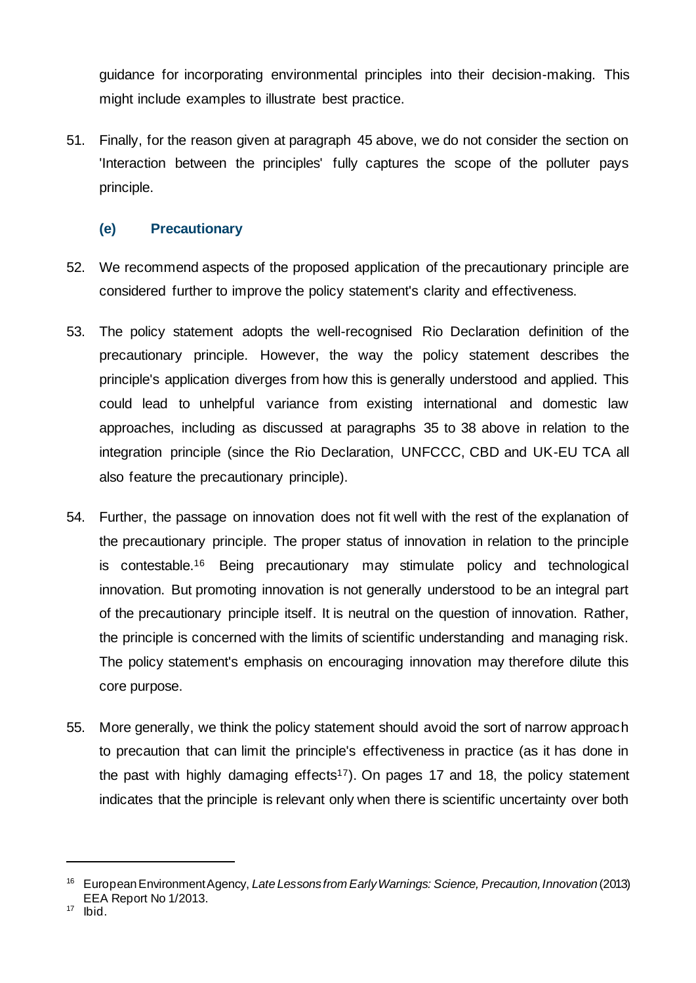guidance for incorporating environmental principles into their decision-making. This might include examples to illustrate best practice.

51. Finally, for the reason given at paragraph 45 above, we do not consider the section on 'Interaction between the principles' fully captures the scope of the polluter pays principle.

## **(e) Precautionary**

- 52. We recommend aspects of the proposed application of the precautionary principle are considered further to improve the policy statement's clarity and effectiveness.
- 53. The policy statement adopts the well-recognised Rio Declaration definition of the precautionary principle. However, the way the policy statement describes the principle's application diverges from how this is generally understood and applied. This could lead to unhelpful variance from existing international and domestic law approaches, including as discussed at paragraphs 35 to 38 above in relation to the integration principle (since the Rio Declaration, UNFCCC, CBD and UK-EU TCA all also feature the precautionary principle).
- 54. Further, the passage on innovation does not fit well with the rest of the explanation of the precautionary principle. The proper status of innovation in relation to the principle is contestable.<sup>16</sup> Being precautionary may stimulate policy and technological innovation. But promoting innovation is not generally understood to be an integral part of the precautionary principle itself. It is neutral on the question of innovation. Rather, the principle is concerned with the limits of scientific understanding and managing risk. The policy statement's emphasis on encouraging innovation may therefore dilute this core purpose.
- 55. More generally, we think the policy statement should avoid the sort of narrow approach to precaution that can limit the principle's effectiveness in practice (as it has done in the past with highly damaging effects<sup>17</sup>). On pages 17 and 18, the policy statement indicates that the principle is relevant only when there is scientific uncertainty over both

<sup>16</sup> European Environment Agency, *Late Lessons from Early Warnings: Science, Precaution,Innovation* (2013) EEA Report No 1/2013.

 $17$  Ibid.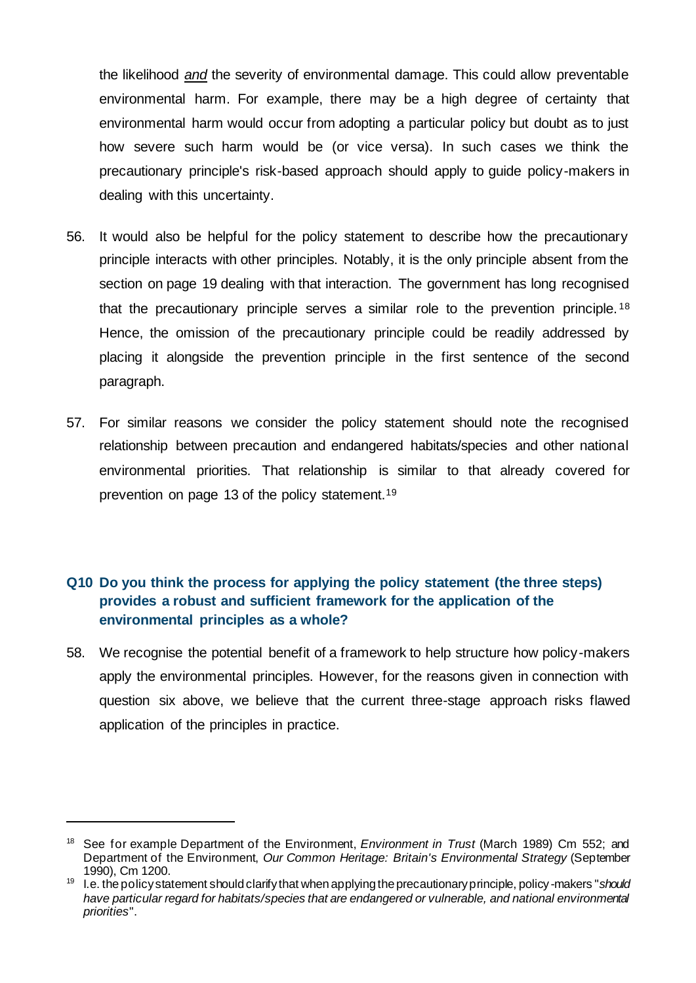the likelihood *and* the severity of environmental damage. This could allow preventable environmental harm. For example, there may be a high degree of certainty that environmental harm would occur from adopting a particular policy but doubt as to just how severe such harm would be (or vice versa). In such cases we think the precautionary principle's risk-based approach should apply to guide policy-makers in dealing with this uncertainty.

- 56. It would also be helpful for the policy statement to describe how the precautionary principle interacts with other principles. Notably, it is the only principle absent from the section on page 19 dealing with that interaction. The government has long recognised that the precautionary principle serves a similar role to the prevention principle. <sup>18</sup> Hence, the omission of the precautionary principle could be readily addressed by placing it alongside the prevention principle in the first sentence of the second paragraph.
- 57. For similar reasons we consider the policy statement should note the recognised relationship between precaution and endangered habitats/species and other national environmental priorities. That relationship is similar to that already covered for prevention on page 13 of the policy statement.<sup>19</sup>

## **Q10 Do you think the process for applying the policy statement (the three steps) provides a robust and sufficient framework for the application of the environmental principles as a whole?**

58. We recognise the potential benefit of a framework to help structure how policy-makers apply the environmental principles. However, for the reasons given in connection with question six above, we believe that the current three-stage approach risks flawed application of the principles in practice.

<sup>18</sup> See for example Department of the Environment, *Environment in Trust* (March 1989) Cm 552; and Department of the Environment, *Our Common Heritage: Britain's Environmental Strategy* (September 1990), Cm 1200.

<sup>19</sup> I.e. the policy statement should clarify that when applying the precautionary principle, policy -makers "*should have particular regard for habitats/species that are endangered or vulnerable, and national environmental priorities*".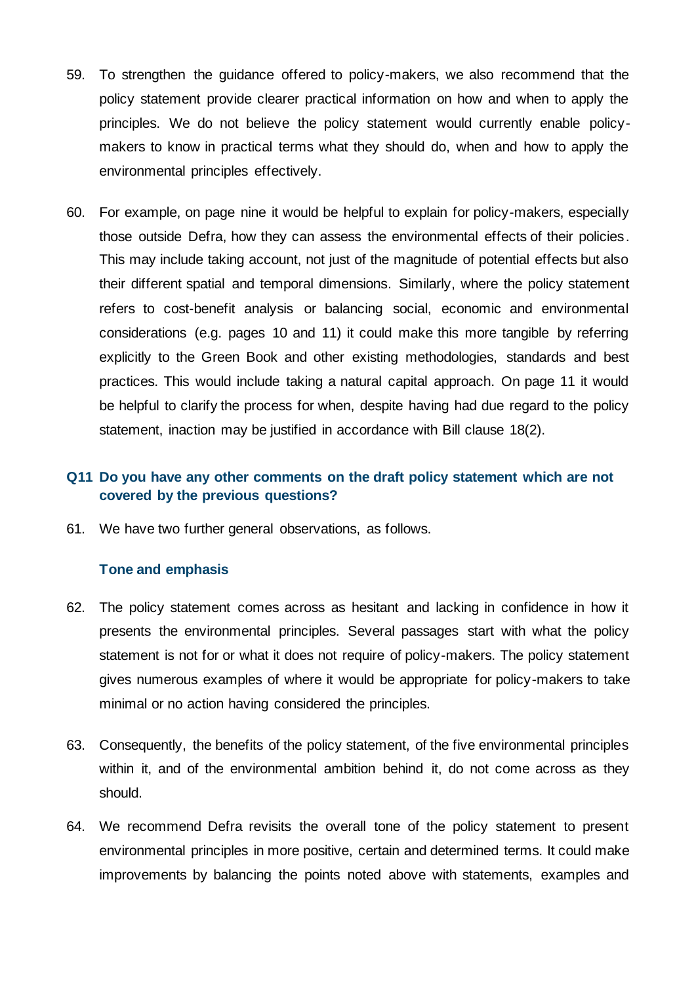- 59. To strengthen the guidance offered to policy-makers, we also recommend that the policy statement provide clearer practical information on how and when to apply the principles. We do not believe the policy statement would currently enable policymakers to know in practical terms what they should do, when and how to apply the environmental principles effectively.
- 60. For example, on page nine it would be helpful to explain for policy-makers, especially those outside Defra, how they can assess the environmental effects of their policies. This may include taking account, not just of the magnitude of potential effects but also their different spatial and temporal dimensions. Similarly, where the policy statement refers to cost-benefit analysis or balancing social, economic and environmental considerations (e.g. pages 10 and 11) it could make this more tangible by referring explicitly to the Green Book and other existing methodologies, standards and best practices. This would include taking a natural capital approach. On page 11 it would be helpful to clarify the process for when, despite having had due regard to the policy statement, inaction may be justified in accordance with Bill clause 18(2).

# **Q11 Do you have any other comments on the draft policy statement which are not covered by the previous questions?**

61. We have two further general observations, as follows.

#### **Tone and emphasis**

- 62. The policy statement comes across as hesitant and lacking in confidence in how it presents the environmental principles. Several passages start with what the policy statement is not for or what it does not require of policy-makers. The policy statement gives numerous examples of where it would be appropriate for policy-makers to take minimal or no action having considered the principles.
- 63. Consequently, the benefits of the policy statement, of the five environmental principles within it, and of the environmental ambition behind it, do not come across as they should.
- 64. We recommend Defra revisits the overall tone of the policy statement to present environmental principles in more positive, certain and determined terms. It could make improvements by balancing the points noted above with statements, examples and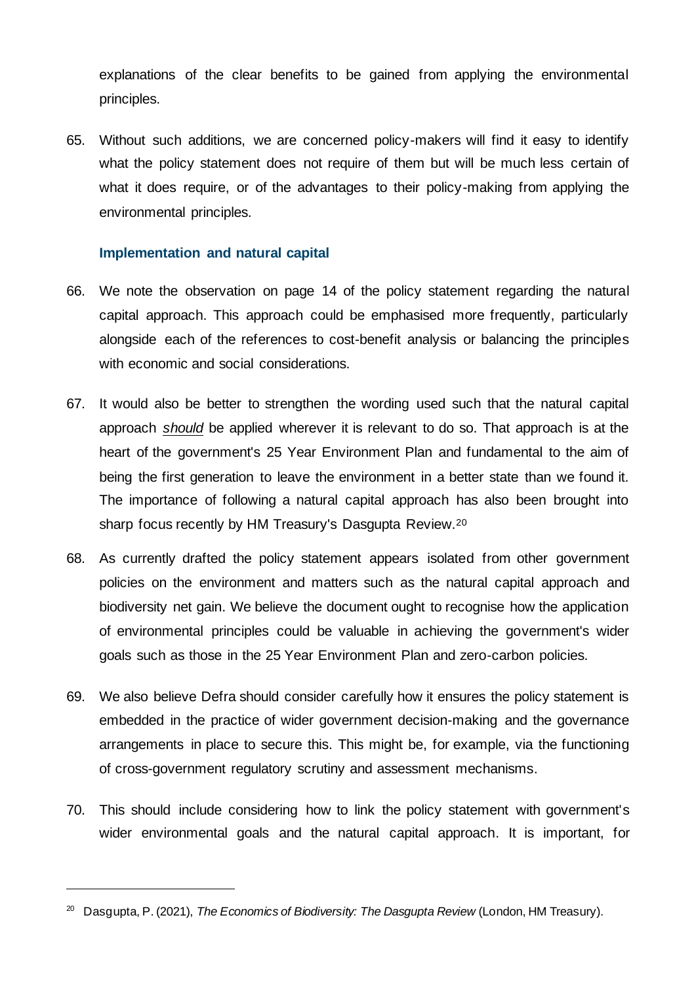explanations of the clear benefits to be gained from applying the environmental principles.

65. Without such additions, we are concerned policy-makers will find it easy to identify what the policy statement does not require of them but will be much less certain of what it does require, or of the advantages to their policy-making from applying the environmental principles.

### **Implementation and natural capital**

- 66. We note the observation on page 14 of the policy statement regarding the natural capital approach. This approach could be emphasised more frequently, particularly alongside each of the references to cost-benefit analysis or balancing the principles with economic and social considerations.
- 67. It would also be better to strengthen the wording used such that the natural capital approach *should* be applied wherever it is relevant to do so. That approach is at the heart of the government's 25 Year Environment Plan and fundamental to the aim of being the first generation to leave the environment in a better state than we found it. The importance of following a natural capital approach has also been brought into sharp focus recently by HM Treasury's Dasgupta Review.<sup>20</sup>
- 68. As currently drafted the policy statement appears isolated from other government policies on the environment and matters such as the natural capital approach and biodiversity net gain. We believe the document ought to recognise how the application of environmental principles could be valuable in achieving the government's wider goals such as those in the 25 Year Environment Plan and zero-carbon policies.
- 69. We also believe Defra should consider carefully how it ensures the policy statement is embedded in the practice of wider government decision-making and the governance arrangements in place to secure this. This might be, for example, via the functioning of cross-government regulatory scrutiny and assessment mechanisms.
- 70. This should include considering how to link the policy statement with government's wider environmental goals and the natural capital approach. It is important, for

<sup>&</sup>lt;sup>20</sup> Dasgupta, P. (2021), *The Economics of Biodiversity: The Dasgupta Review* (London, HM Treasury).